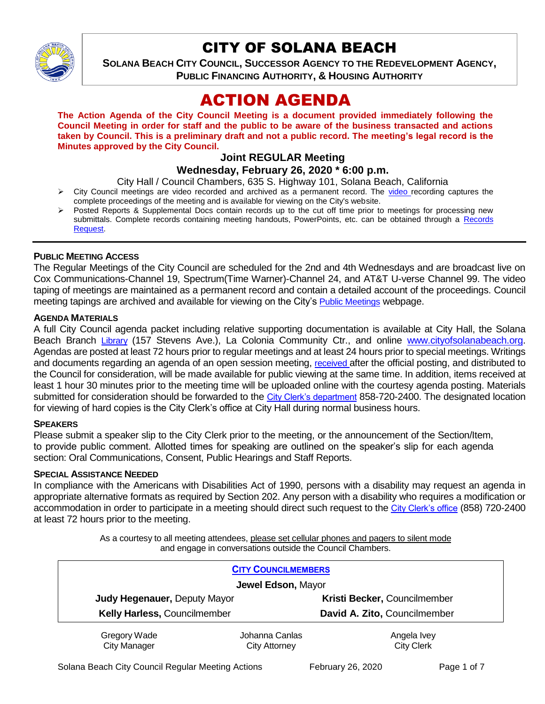

# CITY OF SOLANA BEACH

**SOLANA BEACH CITY COUNCIL, SUCCESSOR AGENCY TO THE REDEVELOPMENT AGENCY, PUBLIC FINANCING AUTHORITY, & HOUSING AUTHORITY** 

# ACTION AGENDA

**The Action Agenda of the City Council Meeting is a document provided immediately following the Council Meeting in order for staff and the public to be aware of the business transacted and actions taken by Council. This is a preliminary draft and not a public record. The meeting's legal record is the Minutes approved by the City Council.**

# **Joint REGULAR Meeting**

#### **Wednesday, February 26, 2020 \* 6:00 p.m.**

City Hall / Council Chambers, 635 S. Highway 101, Solana Beach, California

- $\triangleright$  City Council meetings are [video r](https://solanabeach.12milesout.com/#page=1)ecorded and archived as a permanent record. The video recording captures the complete proceedings of the meeting and is available for viewing on the City's website.
- Posted Reports & Supplemental Docs contain records up to the cut off time prior to meetings for processing new submittals. Complete records containing meeting handouts, PowerPoints, etc. can be obtained through a Records [Request.](http://www.ci.solana-beach.ca.us/index.asp?SEC=F5D45D10-70CE-4291-A27C-7BD633FC6742&Type=B_BASIC)

#### **PUBLIC MEETING ACCESS**

The Regular Meetings of the City Council are scheduled for the 2nd and 4th Wednesdays and are broadcast live on Cox Communications-Channel 19, Spectrum(Time Warner)-Channel 24, and AT&T U-verse Channel 99. The video taping of meetings are maintained as a permanent record and contain a detailed account of the proceedings. Council meeting tapings are archived and available for viewing on the City's [Public Meetings](https://www.ci.solana-beach.ca.us/index.asp?SEC=F0F1200D-21C6-4A88-8AE1-0BC07C1A81A7&Type=B_BASIC) webpage.

#### **AGENDA MATERIALS**

A full City Council agenda packet including relative supporting documentation is available at City Hall, the Solana Beach Branch [Library](http://www.sdcl.org/locations_SB.html) (157 Stevens Ave.), La Colonia Community Ctr., and online [www.cityofsolanabeach.org.](http://www.cityofsolanabeach.org/) Agendas are posted at least 72 hours prior to regular meetings and at least 24 hours prior to special meetings. Writings and documents regarding an agenda of an open session meeting, [received](mailto:EMAILGRP-CityClerksOfc@cosb.org) after the official posting, and distributed to the Council for consideration, will be made available for public viewing at the same time. In addition, items received at least 1 hour 30 minutes prior to the meeting time will be uploaded online with the courtesy agenda posting. Materials submitted for consideration should be forwarded to the [City Clerk's department](mailto:EMAILGRP-CityClerksOfc@cosb.org) 858-720-2400. The designated location for viewing of hard copies is the City Clerk's office at City Hall during normal business hours.

#### **SPEAKERS**

Please submit a speaker slip to the City Clerk prior to the meeting, or the announcement of the Section/Item, to provide public comment. Allotted times for speaking are outlined on the speaker's slip for each agenda section: Oral Communications, Consent, Public Hearings and Staff Reports.

#### **SPECIAL ASSISTANCE NEEDED**

In compliance with the Americans with Disabilities Act of 1990, persons with a disability may request an agenda in appropriate alternative formats as required by Section 202. Any person with a disability who requires a modification or accommodation in order to participate in a meeting should direct such request to the [City Clerk's office](mailto:clerkadmin@cosb.org?subject=City%20Clerk%20Notice%20of%20Special%20Services%20Needed) (858) 720-2400 at least 72 hours prior to the meeting.

> As a courtesy to all meeting attendees, please set cellular phones and pagers to silent mode and engage in conversations outside the Council Chambers.

| <b>CITY COUNCILMEMBERS</b>          |                                        |                                  |
|-------------------------------------|----------------------------------------|----------------------------------|
| Jewel Edson, Mayor                  |                                        |                                  |
| Judy Hegenauer, Deputy Mayor        |                                        | Kristi Becker, Councilmember     |
| Kelly Harless, Councilmember        |                                        | David A. Zito, Councilmember     |
| Gregory Wade<br><b>City Manager</b> | Johanna Canlas<br><b>City Attorney</b> | Angela Ivey<br><b>City Clerk</b> |

Solana Beach City Council Regular Meeting Actions February 26, 2020 Page 1 of 7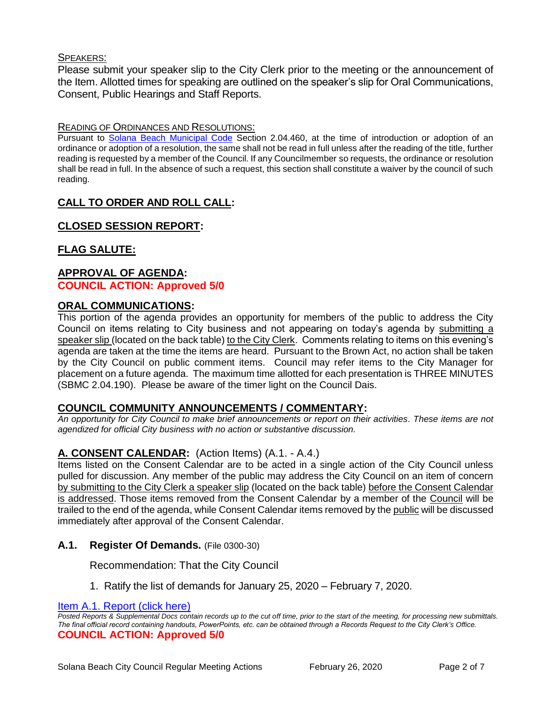#### SPEAKERS:

Please submit your speaker slip to the City Clerk prior to the meeting or the announcement of the Item. Allotted times for speaking are outlined on the speaker's slip for Oral Communications, Consent, Public Hearings and Staff Reports.

#### READING OF ORDINANCES AND RESOLUTIONS:

Pursuant to [Solana Beach Municipal Code](mailto:https://www.codepublishing.com/CA/SolanaBeach/) Section 2.04.460, at the time of introduction or adoption of an ordinance or adoption of a resolution, the same shall not be read in full unless after the reading of the title, further reading is requested by a member of the Council. If any Councilmember so requests, the ordinance or resolution shall be read in full. In the absence of such a request, this section shall constitute a waiver by the council of such reading.

# **CALL TO ORDER AND ROLL CALL:**

# **CLOSED SESSION REPORT:**

#### **FLAG SALUTE:**

#### **APPROVAL OF AGENDA: COUNCIL ACTION: Approved 5/0**

# **ORAL COMMUNICATIONS:**

This portion of the agenda provides an opportunity for members of the public to address the City Council on items relating to City business and not appearing on today's agenda by submitting a speaker slip (located on the back table) to the City Clerk. Comments relating to items on this evening's agenda are taken at the time the items are heard. Pursuant to the Brown Act, no action shall be taken by the City Council on public comment items. Council may refer items to the City Manager for placement on a future agenda. The maximum time allotted for each presentation is THREE MINUTES (SBMC 2.04.190). Please be aware of the timer light on the Council Dais.

#### **COUNCIL COMMUNITY ANNOUNCEMENTS / COMMENTARY:**

*An opportunity for City Council to make brief announcements or report on their activities. These items are not agendized for official City business with no action or substantive discussion.* 

#### **A. CONSENT CALENDAR:** (Action Items) (A.1. - A.4.)

Items listed on the Consent Calendar are to be acted in a single action of the City Council unless pulled for discussion. Any member of the public may address the City Council on an item of concern by submitting to the City Clerk a speaker slip (located on the back table) before the Consent Calendar is addressed. Those items removed from the Consent Calendar by a member of the Council will be trailed to the end of the agenda, while Consent Calendar items removed by the public will be discussed immediately after approval of the Consent Calendar.

#### **A.1. Register Of Demands.** (File 0300-30)

Recommendation: That the City Council

1. Ratify the list of demands for January 25, 2020 – February 7, 2020.

[Item A.1. Report \(click here\)](https://solanabeach.govoffice3.com/vertical/Sites/%7B840804C2-F869-4904-9AE3-720581350CE7%7D/uploads/Item_A.1_Report_(click_here)_02-26-20.PDF)

*Posted Reports & Supplemental Docs contain records up to the cut off time, prior to the start of the meeting, for processing new submittals. The final official record containing handouts, PowerPoints, etc. can be obtained through a Records Request to the City Clerk's Office.* **COUNCIL ACTION: Approved 5/0**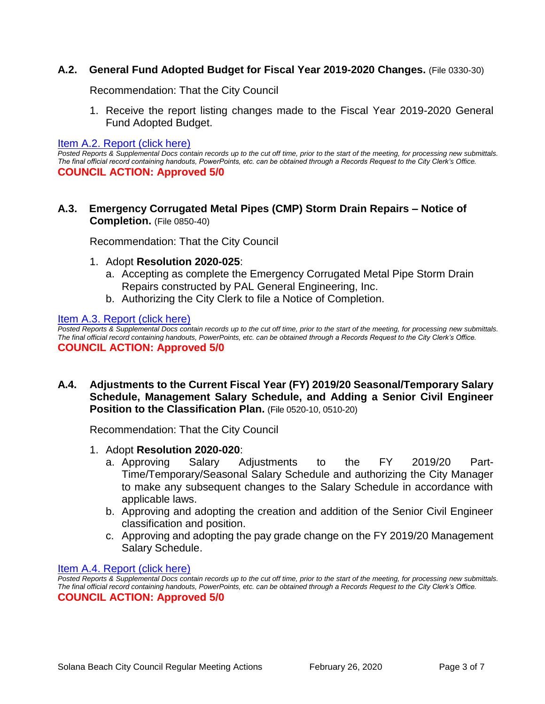#### **A.2. General Fund Adopted Budget for Fiscal Year 2019-2020 Changes.** (File 0330-30)

Recommendation: That the City Council

1. Receive the report listing changes made to the Fiscal Year 2019-2020 General Fund Adopted Budget.

#### [Item A.2. Report \(click here\)](https://solanabeach.govoffice3.com/vertical/Sites/%7B840804C2-F869-4904-9AE3-720581350CE7%7D/uploads/Item_A.2_Report_(click_here)_02-26-20.PDF)

*Posted Reports & Supplemental Docs contain records up to the cut off time, prior to the start of the meeting, for processing new submittals. The final official record containing handouts, PowerPoints, etc. can be obtained through a Records Request to the City Clerk's Office.* **COUNCIL ACTION: Approved 5/0**

**A.3. Emergency Corrugated Metal Pipes (CMP) Storm Drain Repairs – Notice of Completion.** (File 0850-40)

Recommendation: That the City Council

- 1. Adopt **Resolution 2020-025**:
	- a. Accepting as complete the Emergency Corrugated Metal Pipe Storm Drain Repairs constructed by PAL General Engineering, Inc.
	- b. Authorizing the City Clerk to file a Notice of Completion.

[Item A.3. Report \(click here\)](https://solanabeach.govoffice3.com/vertical/Sites/%7B840804C2-F869-4904-9AE3-720581350CE7%7D/uploads/Item_A.3_Report_(click_here)_02-26-20.PDF)

*Posted Reports & Supplemental Docs contain records up to the cut off time, prior to the start of the meeting, for processing new submittals. The final official record containing handouts, PowerPoints, etc. can be obtained through a Records Request to the City Clerk's Office.* **COUNCIL ACTION: Approved 5/0**

**A.4. Adjustments to the Current Fiscal Year (FY) 2019/20 Seasonal/Temporary Salary Schedule, Management Salary Schedule, and Adding a Senior Civil Engineer Position to the Classification Plan.** (File 0520-10, 0510-20)

Recommendation: That the City Council

- 1. Adopt **Resolution 2020-020**:
	- a. Approving Salary Adjustments to the FY 2019/20 Part-Time/Temporary/Seasonal Salary Schedule and authorizing the City Manager to make any subsequent changes to the Salary Schedule in accordance with applicable laws.
	- b. Approving and adopting the creation and addition of the Senior Civil Engineer classification and position.
	- c. Approving and adopting the pay grade change on the FY 2019/20 Management Salary Schedule.

[Item A.4. Report \(click here\)](https://solanabeach.govoffice3.com/vertical/Sites/%7B840804C2-F869-4904-9AE3-720581350CE7%7D/uploads/Item_A.4_Report_(click_here)_02-26-20_.PDF)

*Posted Reports & Supplemental Docs contain records up to the cut off time, prior to the start of the meeting, for processing new submittals. The final official record containing handouts, PowerPoints, etc. can be obtained through a Records Request to the City Clerk's Office.* **COUNCIL ACTION: Approved 5/0**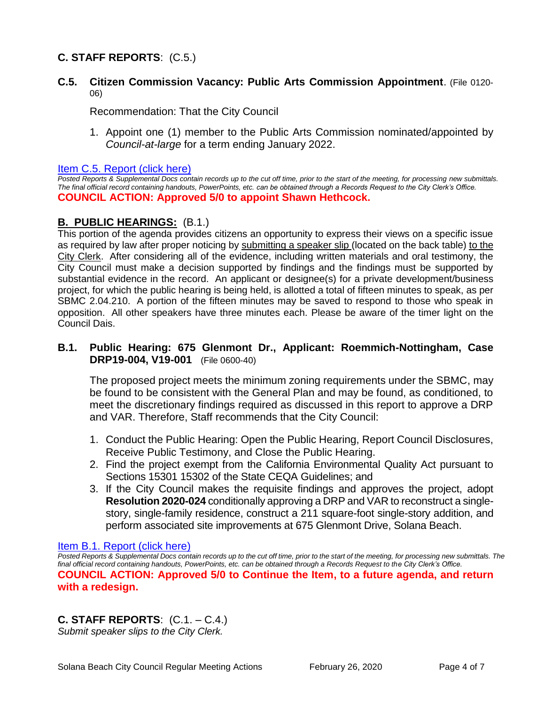# **C. STAFF REPORTS**: (C.5.)

**C.5. Citizen Commission Vacancy: Public Arts Commission Appointment**. (File 0120- 06)

Recommendation: That the City Council

1. Appoint one (1) member to the Public Arts Commission nominated/appointed by *Council-at-large* for a term ending January 2022.

#### [Item C.5. Report \(click here\)](https://solanabeach.govoffice3.com/vertical/Sites/%7B840804C2-F869-4904-9AE3-720581350CE7%7D/uploads/Item_C.5_Report_(click_here)_02-26-20.PDF)

*Posted Reports & Supplemental Docs contain records up to the cut off time, prior to the start of the meeting, for processing new submittals. The final official record containing handouts, PowerPoints, etc. can be obtained through a Records Request to the City Clerk's Office.* **COUNCIL ACTION: Approved 5/0 to appoint Shawn Hethcock.** 

#### **B. PUBLIC HEARINGS:** (B.1.)

This portion of the agenda provides citizens an opportunity to express their views on a specific issue as required by law after proper noticing by submitting a speaker slip (located on the back table) to the City Clerk. After considering all of the evidence, including written materials and oral testimony, the City Council must make a decision supported by findings and the findings must be supported by substantial evidence in the record. An applicant or designee(s) for a private development/business project, for which the public hearing is being held, is allotted a total of fifteen minutes to speak, as per SBMC 2.04.210. A portion of the fifteen minutes may be saved to respond to those who speak in opposition. All other speakers have three minutes each. Please be aware of the timer light on the Council Dais.

#### **B.1. Public Hearing: 675 Glenmont Dr., Applicant: Roemmich-Nottingham, Case DRP19-004, V19-001** (File 0600-40)

The proposed project meets the minimum zoning requirements under the SBMC, may be found to be consistent with the General Plan and may be found, as conditioned, to meet the discretionary findings required as discussed in this report to approve a DRP and VAR. Therefore, Staff recommends that the City Council:

- 1. Conduct the Public Hearing: Open the Public Hearing, Report Council Disclosures, Receive Public Testimony, and Close the Public Hearing.
- 2. Find the project exempt from the California Environmental Quality Act pursuant to Sections 15301 15302 of the State CEQA Guidelines; and
- 3. If the City Council makes the requisite findings and approves the project, adopt **Resolution 2020-024** conditionally approving a DRP and VAR to reconstruct a singlestory, single-family residence, construct a 211 square-foot single-story addition, and perform associated site improvements at 675 Glenmont Drive, Solana Beach.

#### [Item B.1. Report \(click here\)](https://solanabeach.govoffice3.com/vertical/Sites/%7B840804C2-F869-4904-9AE3-720581350CE7%7D/uploads/Item_B.1_Report_(click_here)_02-26-20.PDF)

*Posted Reports & Supplemental Docs contain records up to the cut off time, prior to the start of the meeting, for processing new submittals. The final official record containing handouts, PowerPoints, etc. can be obtained through a Records Request to the City Clerk's Office.* **COUNCIL ACTION: Approved 5/0 to Continue the Item, to a future agenda, and return with a redesign.** 

# **C. STAFF REPORTS**: (C.1. – C.4.)

*Submit speaker slips to the City Clerk.*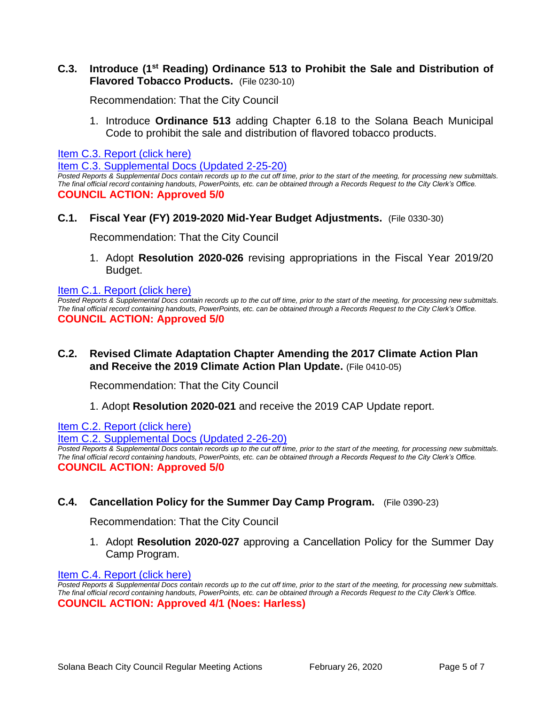#### **C.3. Introduce (1st Reading) Ordinance 513 to Prohibit the Sale and Distribution of Flavored Tobacco Products.** (File 0230-10)

Recommendation: That the City Council

1. Introduce **Ordinance 513** adding Chapter 6.18 to the Solana Beach Municipal [Code to prohibit the sale and distribution of flavored tobacco products.](https://solanabeach.govoffice3.com/vertical/Sites/%7B840804C2-F869-4904-9AE3-720581350CE7%7D/uploads/Item_C.3_Report_(click_here)_02-26-20.PDF) 

[Item C.3. Report \(click here\)](https://solanabeach.govoffice3.com/vertical/Sites/%7B840804C2-F869-4904-9AE3-720581350CE7%7D/uploads/Item_C.3_Report_(click_here)_02-26-20.PDF)

[Item C.3. Supplemental Docs \(Updated 2-25-20\)](https://solanabeach.govoffice3.com/vertical/Sites/%7B840804C2-F869-4904-9AE3-720581350CE7%7D/uploads/Item_C.3._Supplemental_Docs_(2-25-20).pdf)

*Posted Reports & Supplemental Docs contain records up to the cut off time, prior to the start of the meeting, for processing new submittals. The final official record containing handouts, PowerPoints, etc. can be obtained through a Records Request to the City Clerk's Office.* **COUNCIL ACTION: Approved 5/0**

#### **C.1. Fiscal Year (FY) 2019-2020 Mid-Year Budget Adjustments.** (File 0330-30)

Recommendation: That the City Council

1. Adopt **Resolution 2020-026** revising appropriations in the Fiscal Year 2019/20 Budget.

#### [Item C.1. Report \(click here\)](https://solanabeach.govoffice3.com/vertical/Sites/%7B840804C2-F869-4904-9AE3-720581350CE7%7D/uploads/Item_C.1_Report_(click_here)_02-26-20.PDF)

*Posted Reports & Supplemental Docs contain records up to the cut off time, prior to the start of the meeting, for processing new submittals. The final official record containing handouts, PowerPoints, etc. can be obtained through a Records Request to the City Clerk's Office.* **COUNCIL ACTION: Approved 5/0**

#### **C.2. Revised Climate Adaptation Chapter Amending the 2017 Climate Action Plan and Receive the 2019 Climate Action Plan Update.** (File 0410-05)

Recommendation: That the City Council

1. Adopt **Resolution 2020-021** and receive the 2019 CAP Update report.

Item C.2. Report (click here)

[Item C.2. Supplemental Docs \(Updated 2-26-20\)](https://solanabeach.govoffice3.com/vertical/Sites/%7B840804C2-F869-4904-9AE3-720581350CE7%7D/uploads/Item_C.2._Supplemental_Docs_(2-26-20)_-_O.pdf)

*Posted Reports & Supplemental Docs contain records up to the cut off time, prior to the start of the meeting, for processing new submittals. The final official record containing handouts, PowerPoints, etc. can be obtained through a Records Request to the City Clerk's Office.* **COUNCIL ACTION: Approved 5/0**

#### **C.4. Cancellation Policy for the Summer Day Camp Program.** (File 0390-23)

Recommendation: That the City Council

1. Adopt **Resolution 2020-027** approving a Cancellation Policy for the Summer Day Camp Program.

#### [Item C.4. Report \(click here\)](https://solanabeach.govoffice3.com/vertical/Sites/%7B840804C2-F869-4904-9AE3-720581350CE7%7D/uploads/Item_C.4_Report_(click_here)_02-26-20.PDF)

*Posted Reports & Supplemental Docs contain records up to the cut off time, prior to the start of the meeting, for processing new submittals. The final official record containing handouts, PowerPoints, etc. can be obtained through a Records Request to the City Clerk's Office.* **COUNCIL ACTION: Approved 4/1 (Noes: Harless)**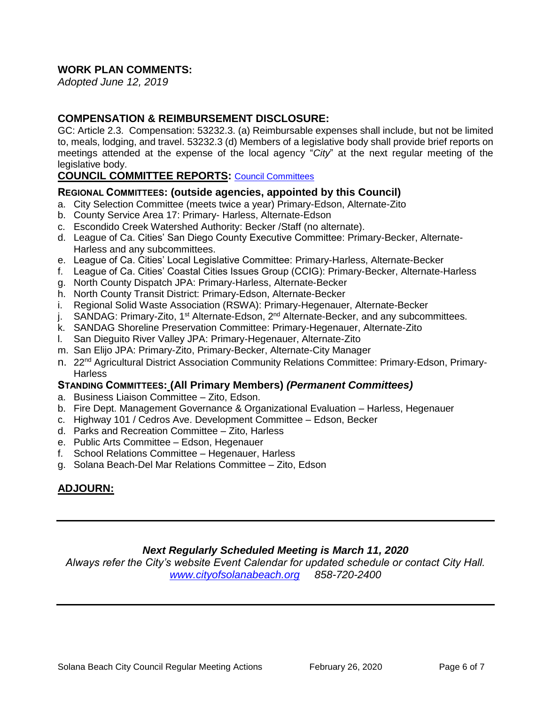# **WORK PLAN COMMENTS:**

*Adopted June 12, 2019*

#### **COMPENSATION & REIMBURSEMENT DISCLOSURE:**

GC: Article 2.3. Compensation: 53232.3. (a) Reimbursable expenses shall include, but not be limited to, meals, lodging, and travel. 53232.3 (d) Members of a legislative body shall provide brief reports on meetings attended at the expense of the local agency "*City*" at the next regular meeting of the legislative body.

#### **COUNCIL COMMITTEE REPORTS:** [Council Committees](https://www.ci.solana-beach.ca.us/index.asp?SEC=584E1192-3850-46EA-B977-088AC3E81E0D&Type=B_BASIC)

#### **REGIONAL COMMITTEES: (outside agencies, appointed by this Council)**

- a. City Selection Committee (meets twice a year) Primary-Edson, Alternate-Zito
- b. County Service Area 17: Primary- Harless, Alternate-Edson
- c. Escondido Creek Watershed Authority: Becker /Staff (no alternate).
- d. League of Ca. Cities' San Diego County Executive Committee: Primary-Becker, Alternate-Harless and any subcommittees.
- e. League of Ca. Cities' Local Legislative Committee: Primary-Harless, Alternate-Becker
- f. League of Ca. Cities' Coastal Cities Issues Group (CCIG): Primary-Becker, Alternate-Harless
- g. North County Dispatch JPA: Primary-Harless, Alternate-Becker
- h. North County Transit District: Primary-Edson, Alternate-Becker
- i. Regional Solid Waste Association (RSWA): Primary-Hegenauer, Alternate-Becker
- j. SANDAG: Primary-Zito, 1<sup>st</sup> Alternate-Edson, 2<sup>nd</sup> Alternate-Becker, and any subcommittees.
- k. SANDAG Shoreline Preservation Committee: Primary-Hegenauer, Alternate-Zito
- l. San Dieguito River Valley JPA: Primary-Hegenauer, Alternate-Zito
- m. San Elijo JPA: Primary-Zito, Primary-Becker, Alternate-City Manager
- n. 22<sup>nd</sup> Agricultural District Association Community Relations Committee: Primary-Edson, Primary-**Harless**

#### **STANDING COMMITTEES: (All Primary Members)** *(Permanent Committees)*

- a. Business Liaison Committee Zito, Edson.
- b. Fire Dept. Management Governance & Organizational Evaluation Harless, Hegenauer
- c. Highway 101 / Cedros Ave. Development Committee Edson, Becker
- d. Parks and Recreation Committee Zito, Harless
- e. Public Arts Committee Edson, Hegenauer
- f. School Relations Committee Hegenauer, Harless
- g. Solana Beach-Del Mar Relations Committee Zito, Edson

# **ADJOURN:**

#### *Next Regularly Scheduled Meeting is March 11, 2020*

*Always refer the City's website Event Calendar for updated schedule or contact City Hall. [www.cityofsolanabeach.org](http://www.cityofsolanabeach.org/) 858-720-2400*